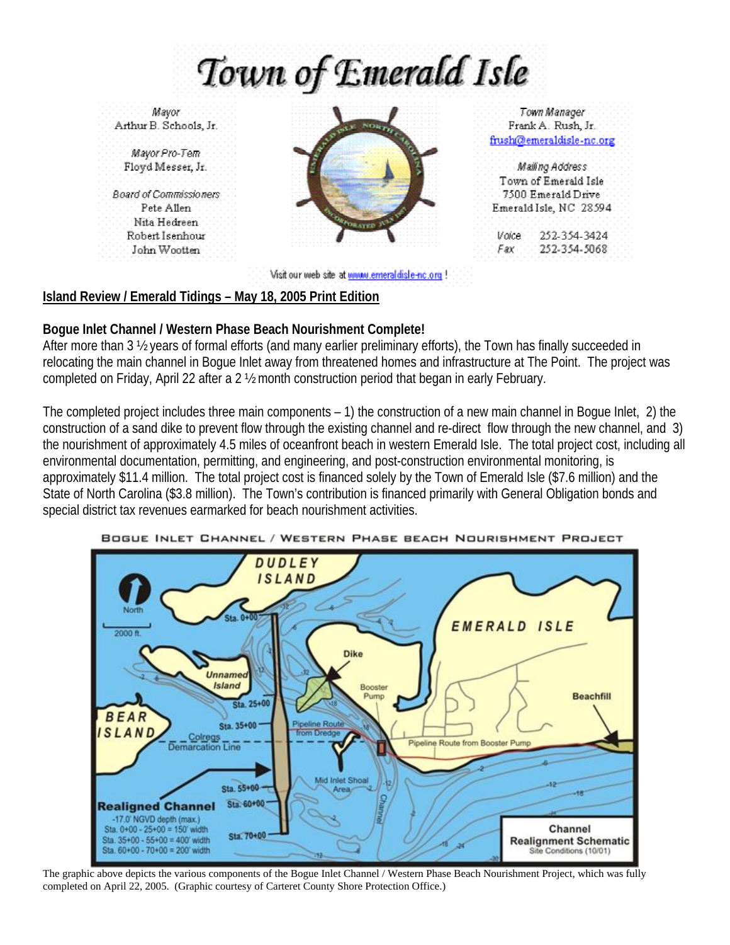Town of Emerald Isle

Mayor Arthur B. Schools, Jr.

Mayor Pro-Tem Floyd Messer, Jr.

**Board of Commissioners** Pete Allen Nita Hedreen. Robert Isenhour John Wootten



Town Manager Frank A. Rush, Jr. frush@emeraldisle-nc.org

Mallino Address Town of Emerald Isle 7500 Emerald Drive Emerald Isle, NC 28594

Voice 252-354-3424  $Fax$ 252-354-5068

Visit our wieb site at winny emeral disle-no.org !

## **Island Review / Emerald Tidings – May 18, 2005 Print Edition**

## **Bogue Inlet Channel / Western Phase Beach Nourishment Complete!**

After more than 3 ½ years of formal efforts (and many earlier preliminary efforts), the Town has finally succeeded in relocating the main channel in Bogue Inlet away from threatened homes and infrastructure at The Point. The project was completed on Friday, April 22 after a 2 ½ month construction period that began in early February.

The completed project includes three main components – 1) the construction of a new main channel in Bogue Inlet, 2) the construction of a sand dike to prevent flow through the existing channel and re-direct flow through the new channel, and 3) the nourishment of approximately 4.5 miles of oceanfront beach in western Emerald Isle. The total project cost, including all environmental documentation, permitting, and engineering, and post-construction environmental monitoring, is approximately \$11.4 million. The total project cost is financed solely by the Town of Emerald Isle (\$7.6 million) and the State of North Carolina (\$3.8 million). The Town's contribution is financed primarily with General Obligation bonds and special district tax revenues earmarked for beach nourishment activities.



BOGUE INLET CHANNEL / WESTERN PHASE BEACH NOURISHMENT PROJECT

The graphic above depicts the various components of the Bogue Inlet Channel / Western Phase Beach Nourishment Project, which was fully completed on April 22, 2005. (Graphic courtesy of Carteret County Shore Protection Office.)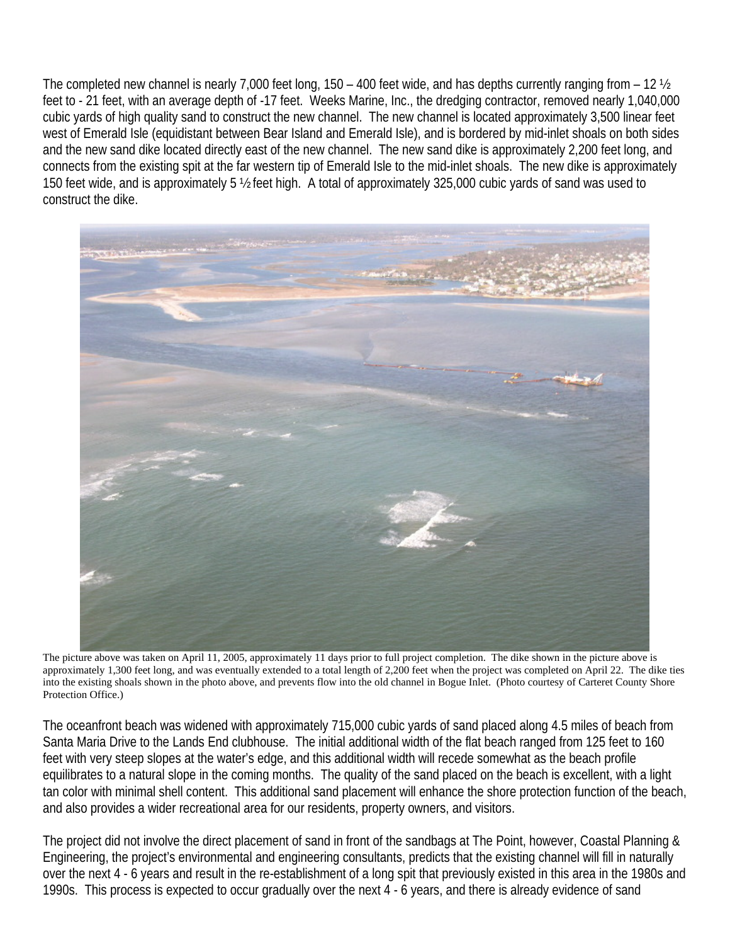The completed new channel is nearly 7,000 feet long, 150 – 400 feet wide, and has depths currently ranging from – 12 ½ feet to - 21 feet, with an average depth of -17 feet. Weeks Marine, Inc., the dredging contractor, removed nearly 1,040,000 cubic yards of high quality sand to construct the new channel. The new channel is located approximately 3,500 linear feet west of Emerald Isle (equidistant between Bear Island and Emerald Isle), and is bordered by mid-inlet shoals on both sides and the new sand dike located directly east of the new channel. The new sand dike is approximately 2,200 feet long, and connects from the existing spit at the far western tip of Emerald Isle to the mid-inlet shoals. The new dike is approximately 150 feet wide, and is approximately 5 ½ feet high. A total of approximately 325,000 cubic yards of sand was used to construct the dike.



The picture above was taken on April 11, 2005, approximately 11 days prior to full project completion. The dike shown in the picture above is approximately 1,300 feet long, and was eventually extended to a total length of 2,200 feet when the project was completed on April 22. The dike ties into the existing shoals shown in the photo above, and prevents flow into the old channel in Bogue Inlet. (Photo courtesy of Carteret County Shore Protection Office.)

The oceanfront beach was widened with approximately 715,000 cubic yards of sand placed along 4.5 miles of beach from Santa Maria Drive to the Lands End clubhouse. The initial additional width of the flat beach ranged from 125 feet to 160 feet with very steep slopes at the water's edge, and this additional width will recede somewhat as the beach profile equilibrates to a natural slope in the coming months. The quality of the sand placed on the beach is excellent, with a light tan color with minimal shell content. This additional sand placement will enhance the shore protection function of the beach, and also provides a wider recreational area for our residents, property owners, and visitors.

The project did not involve the direct placement of sand in front of the sandbags at The Point, however, Coastal Planning & Engineering, the project's environmental and engineering consultants, predicts that the existing channel will fill in naturally over the next 4 - 6 years and result in the re-establishment of a long spit that previously existed in this area in the 1980s and 1990s. This process is expected to occur gradually over the next 4 - 6 years, and there is already evidence of sand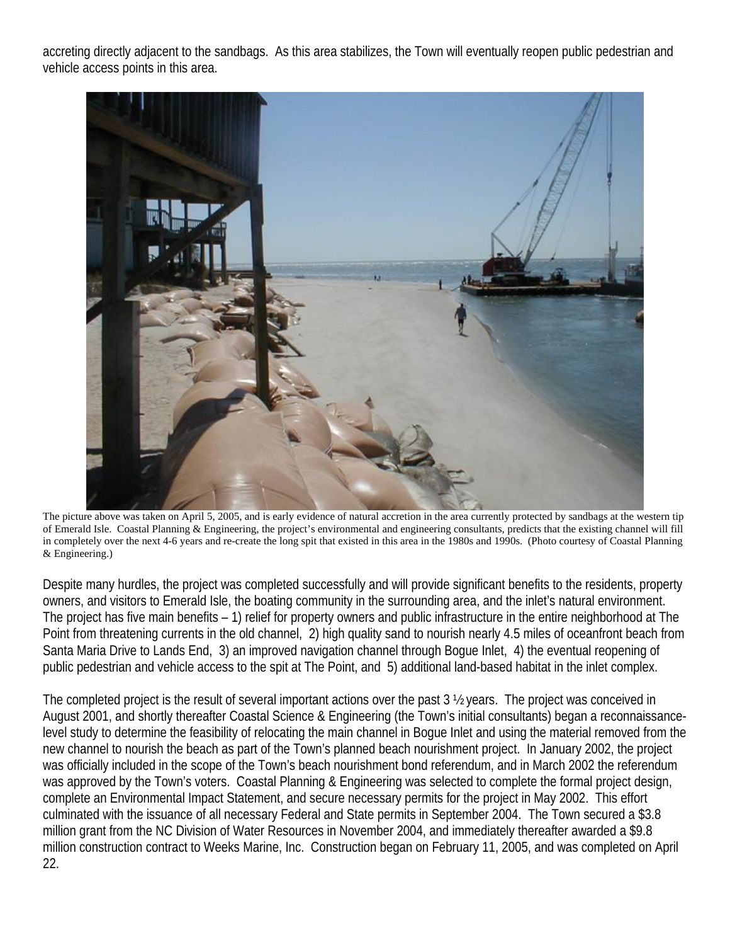accreting directly adjacent to the sandbags. As this area stabilizes, the Town will eventually reopen public pedestrian and vehicle access points in this area.



The picture above was taken on April 5, 2005, and is early evidence of natural accretion in the area currently protected by sandbags at the western tip of Emerald Isle. Coastal Planning & Engineering, the project's environmental and engineering consultants, predicts that the existing channel will fill in completely over the next 4-6 years and re-create the long spit that existed in this area in the 1980s and 1990s. (Photo courtesy of Coastal Planning & Engineering.)

Despite many hurdles, the project was completed successfully and will provide significant benefits to the residents, property owners, and visitors to Emerald Isle, the boating community in the surrounding area, and the inlet's natural environment. The project has five main benefits – 1) relief for property owners and public infrastructure in the entire neighborhood at The Point from threatening currents in the old channel, 2) high quality sand to nourish nearly 4.5 miles of oceanfront beach from Santa Maria Drive to Lands End, 3) an improved navigation channel through Bogue Inlet, 4) the eventual reopening of public pedestrian and vehicle access to the spit at The Point, and 5) additional land-based habitat in the inlet complex.

The completed project is the result of several important actions over the past 3 ½ years. The project was conceived in August 2001, and shortly thereafter Coastal Science & Engineering (the Town's initial consultants) began a reconnaissancelevel study to determine the feasibility of relocating the main channel in Bogue Inlet and using the material removed from the new channel to nourish the beach as part of the Town's planned beach nourishment project. In January 2002, the project was officially included in the scope of the Town's beach nourishment bond referendum, and in March 2002 the referendum was approved by the Town's voters. Coastal Planning & Engineering was selected to complete the formal project design, complete an Environmental Impact Statement, and secure necessary permits for the project in May 2002. This effort culminated with the issuance of all necessary Federal and State permits in September 2004. The Town secured a \$3.8 million grant from the NC Division of Water Resources in November 2004, and immediately thereafter awarded a \$9.8 million construction contract to Weeks Marine, Inc. Construction began on February 11, 2005, and was completed on April 22.